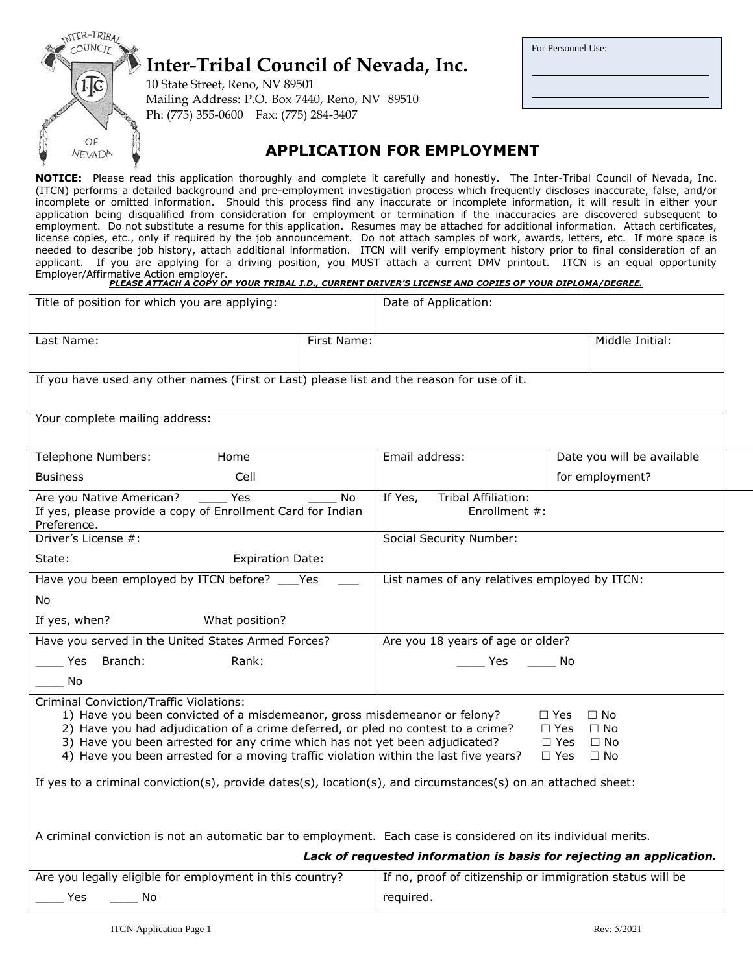

#### **APPLICATION FOR EMPLOYMENT**

**NOTICE:** Please read this application thoroughly and complete it carefully and honestly. The Inter-Tribal Council of Nevada, Inc. (ITCN) performs a detailed background and pre-employment investigation process which frequently discloses inaccurate, false, and/or incomplete or omitted information. Should this process find any inaccurate or incomplete information, it will result in either your application being disqualified from consideration for employment or termination if the inaccuracies are discovered subsequent to employment. Do not substitute a resume for this application. Resumes may be attached for additional information. Attach certificates, license copies, etc., only if required by the job announcement. Do not attach samples of work, awards, letters, etc. If more space is needed to describe job history, attach additional information. ITCN will verify employment history prior to final consideration of an applicant. If you are applying for a driving position, you MUST attach a current DMV printout. ITCN is an equal opportunity Employer/Affirmative Action employer. *PLEASE ATTACH A COPY OF YOUR TRIBAL I.D., CURRENT DRIVER'S LICENSE AND COPIES OF YOUR DIPLOMA/DEGREE.*

| Title of position for which you are applying:                                                                                                                                                                                                                                                                                                                                                                                                                                                                                                                                                                       |             | Date of Application:                                      |               |                                                                      |
|---------------------------------------------------------------------------------------------------------------------------------------------------------------------------------------------------------------------------------------------------------------------------------------------------------------------------------------------------------------------------------------------------------------------------------------------------------------------------------------------------------------------------------------------------------------------------------------------------------------------|-------------|-----------------------------------------------------------|---------------|----------------------------------------------------------------------|
| Last Name:                                                                                                                                                                                                                                                                                                                                                                                                                                                                                                                                                                                                          | First Name: |                                                           |               | Middle Initial:                                                      |
|                                                                                                                                                                                                                                                                                                                                                                                                                                                                                                                                                                                                                     |             |                                                           |               |                                                                      |
| If you have used any other names (First or Last) please list and the reason for use of it.                                                                                                                                                                                                                                                                                                                                                                                                                                                                                                                          |             |                                                           |               |                                                                      |
| Your complete mailing address:                                                                                                                                                                                                                                                                                                                                                                                                                                                                                                                                                                                      |             |                                                           |               |                                                                      |
| Telephone Numbers:<br>Home                                                                                                                                                                                                                                                                                                                                                                                                                                                                                                                                                                                          |             | Email address:                                            |               | Date you will be available                                           |
| <b>Business</b><br>Cell                                                                                                                                                                                                                                                                                                                                                                                                                                                                                                                                                                                             |             |                                                           |               | for employment?                                                      |
| Are you Native American?<br>Yes<br>If yes, please provide a copy of Enrollment Card for Indian<br>Preference.                                                                                                                                                                                                                                                                                                                                                                                                                                                                                                       | No          | <b>Tribal Affiliation:</b><br>If Yes,                     | Enrollment #: |                                                                      |
| Driver's License #:                                                                                                                                                                                                                                                                                                                                                                                                                                                                                                                                                                                                 |             | Social Security Number:                                   |               |                                                                      |
| State:<br><b>Expiration Date:</b>                                                                                                                                                                                                                                                                                                                                                                                                                                                                                                                                                                                   |             |                                                           |               |                                                                      |
| Have you been employed by ITCN before? ____ Yes<br>List names of any relatives employed by ITCN:                                                                                                                                                                                                                                                                                                                                                                                                                                                                                                                    |             |                                                           |               |                                                                      |
| No                                                                                                                                                                                                                                                                                                                                                                                                                                                                                                                                                                                                                  |             |                                                           |               |                                                                      |
| If yes, when?<br>What position?                                                                                                                                                                                                                                                                                                                                                                                                                                                                                                                                                                                     |             |                                                           |               |                                                                      |
| Have you served in the United States Armed Forces?                                                                                                                                                                                                                                                                                                                                                                                                                                                                                                                                                                  |             | Are you 18 years of age or older?                         |               |                                                                      |
| Yes Branch:<br>Rank:                                                                                                                                                                                                                                                                                                                                                                                                                                                                                                                                                                                                |             |                                                           | Yes No        |                                                                      |
| No.                                                                                                                                                                                                                                                                                                                                                                                                                                                                                                                                                                                                                 |             |                                                           |               |                                                                      |
| <b>Criminal Conviction/Traffic Violations:</b><br>1) Have you been convicted of a misdemeanor, gross misdemeanor or felony?<br>$\Box$ No<br>$\Box$ Yes<br>2) Have you had adjudication of a crime deferred, or pled no contest to a crime?<br>$\Box$ No<br>$\Box$ Yes<br>3) Have you been arrested for any crime which has not yet been adjudicated?<br>$\Box$ Yes<br>$\Box$ No<br>4) Have you been arrested for a moving traffic violation within the last five years?<br>$\Box$ No<br>$\Box$ Yes<br>If yes to a criminal conviction(s), provide dates(s), location(s), and circumstances(s) on an attached sheet: |             |                                                           |               |                                                                      |
| A criminal conviction is not an automatic bar to employment. Each case is considered on its individual merits.                                                                                                                                                                                                                                                                                                                                                                                                                                                                                                      |             |                                                           |               | Lack of requested information is basis for rejecting an application. |
| Are you legally eligible for employment in this country?                                                                                                                                                                                                                                                                                                                                                                                                                                                                                                                                                            |             | If no, proof of citizenship or immigration status will be |               |                                                                      |
| <b>Yes</b><br>a No<br>required.                                                                                                                                                                                                                                                                                                                                                                                                                                                                                                                                                                                     |             |                                                           |               |                                                                      |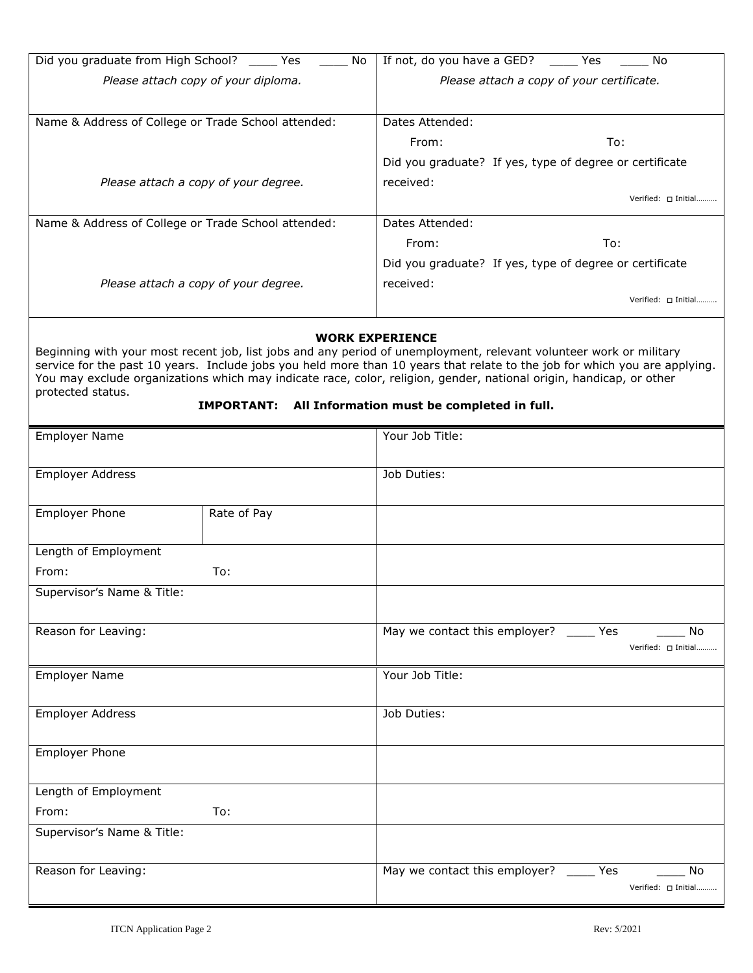| Did you graduate from High School? Yes              | <b>No</b>                                                                                                                                                                                                                                 | If not, do you have a GED?                | Yes<br>No                                                                                                                  |  |
|-----------------------------------------------------|-------------------------------------------------------------------------------------------------------------------------------------------------------------------------------------------------------------------------------------------|-------------------------------------------|----------------------------------------------------------------------------------------------------------------------------|--|
|                                                     | Please attach copy of your diploma.                                                                                                                                                                                                       | Please attach a copy of your certificate. |                                                                                                                            |  |
|                                                     |                                                                                                                                                                                                                                           |                                           |                                                                                                                            |  |
| Name & Address of College or Trade School attended: |                                                                                                                                                                                                                                           | Dates Attended:                           |                                                                                                                            |  |
|                                                     |                                                                                                                                                                                                                                           | From:                                     | To:                                                                                                                        |  |
|                                                     |                                                                                                                                                                                                                                           |                                           | Did you graduate? If yes, type of degree or certificate                                                                    |  |
|                                                     | Please attach a copy of your degree.                                                                                                                                                                                                      | received:                                 |                                                                                                                            |  |
|                                                     |                                                                                                                                                                                                                                           |                                           | Verified: □ Initial                                                                                                        |  |
| Name & Address of College or Trade School attended: |                                                                                                                                                                                                                                           | Dates Attended:                           |                                                                                                                            |  |
|                                                     |                                                                                                                                                                                                                                           | From:                                     | To:                                                                                                                        |  |
|                                                     |                                                                                                                                                                                                                                           |                                           | Did you graduate? If yes, type of degree or certificate                                                                    |  |
| Please attach a copy of your degree.<br>received:   |                                                                                                                                                                                                                                           |                                           |                                                                                                                            |  |
|                                                     |                                                                                                                                                                                                                                           |                                           | Verified: $\Box$ Initial                                                                                                   |  |
|                                                     |                                                                                                                                                                                                                                           | <b>WORK EXPERIENCE</b>                    |                                                                                                                            |  |
| protected status.                                   | Beginning with your most recent job, list jobs and any period of unemployment, relevant volunteer work or military<br>You may exclude organizations which may indicate race, color, religion, gender, national origin, handicap, or other |                                           | service for the past 10 years. Include jobs you held more than 10 years that relate to the job for which you are applying. |  |
|                                                     | <b>IMPORTANT:</b> All Information must be completed in full.                                                                                                                                                                              |                                           |                                                                                                                            |  |
| <b>Employer Name</b>                                |                                                                                                                                                                                                                                           | Your Job Title:                           |                                                                                                                            |  |
|                                                     |                                                                                                                                                                                                                                           |                                           |                                                                                                                            |  |
| <b>Employer Address</b><br>Job Duties:              |                                                                                                                                                                                                                                           |                                           |                                                                                                                            |  |
|                                                     |                                                                                                                                                                                                                                           |                                           |                                                                                                                            |  |
| <b>Employer Phone</b>                               | Rate of Pay                                                                                                                                                                                                                               |                                           |                                                                                                                            |  |
|                                                     |                                                                                                                                                                                                                                           |                                           |                                                                                                                            |  |
| ength of Employment                                 |                                                                                                                                                                                                                                           |                                           |                                                                                                                            |  |

| Lilipioyel Ivalile         |             | <b>TOUT JOD TILIE.</b>                                               |
|----------------------------|-------------|----------------------------------------------------------------------|
| Employer Address           |             | Job Duties:                                                          |
| Employer Phone             | Rate of Pay |                                                                      |
| Length of Employment       |             |                                                                      |
| From:                      | To:         |                                                                      |
| Supervisor's Name & Title: |             |                                                                      |
| Reason for Leaving:        |             | May we contact this employer? _____ Yes<br>No<br>Verified: [ Initial |
| <b>Employer Name</b>       |             | Your Job Title:                                                      |
| Employer Address           |             | Job Duties:                                                          |
| <b>Employer Phone</b>      |             |                                                                      |
| Length of Employment       |             |                                                                      |
| From:                      | To:         |                                                                      |
| Supervisor's Name & Title: |             |                                                                      |
| Reason for Leaving:        |             | May we contact this employer? _____ Yes<br>No                        |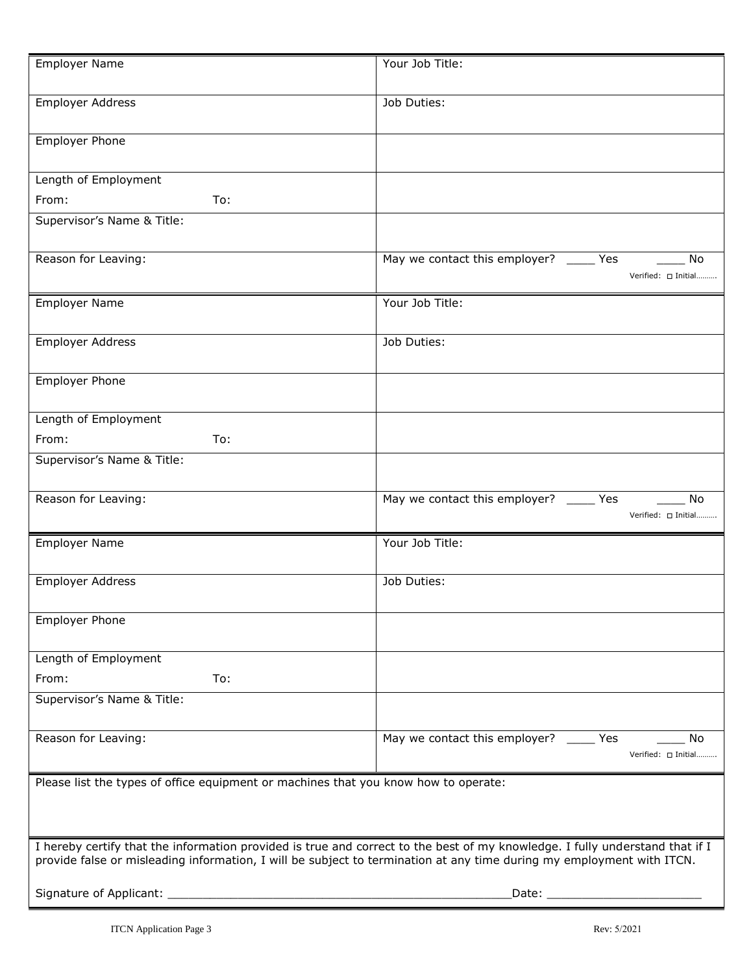| <b>Employer Name</b>                                                                                                  | Your Job Title:                                                                                                              |
|-----------------------------------------------------------------------------------------------------------------------|------------------------------------------------------------------------------------------------------------------------------|
| <b>Employer Address</b>                                                                                               | Job Duties:                                                                                                                  |
| <b>Employer Phone</b>                                                                                                 |                                                                                                                              |
| Length of Employment                                                                                                  |                                                                                                                              |
| To:<br>From:                                                                                                          |                                                                                                                              |
| Supervisor's Name & Title:                                                                                            |                                                                                                                              |
| Reason for Leaving:                                                                                                   | May we contact this employer? _____ Yes<br>No<br>Verified: [ Initial                                                         |
| <b>Employer Name</b>                                                                                                  | Your Job Title:                                                                                                              |
| <b>Employer Address</b>                                                                                               | Job Duties:                                                                                                                  |
| <b>Employer Phone</b>                                                                                                 |                                                                                                                              |
| Length of Employment                                                                                                  |                                                                                                                              |
| To:<br>From:                                                                                                          |                                                                                                                              |
| Supervisor's Name & Title:                                                                                            |                                                                                                                              |
| Reason for Leaving:                                                                                                   | May we contact this employer? _____ Yes<br>No<br>Verified: [ Initial                                                         |
| <b>Employer Name</b>                                                                                                  | Your Job Title:                                                                                                              |
| <b>Employer Address</b>                                                                                               | Job Duties:                                                                                                                  |
| <b>Employer Phone</b>                                                                                                 |                                                                                                                              |
| Length of Employment                                                                                                  |                                                                                                                              |
| To:<br>From:                                                                                                          |                                                                                                                              |
| Supervisor's Name & Title:                                                                                            |                                                                                                                              |
| Reason for Leaving:                                                                                                   | May we contact this employer? _____ Yes<br>No<br>Verified: $\Box$ Initial                                                    |
| Please list the types of office equipment or machines that you know how to operate:                                   |                                                                                                                              |
| provide false or misleading information, I will be subject to termination at any time during my employment with ITCN. | I hereby certify that the information provided is true and correct to the best of my knowledge. I fully understand that if I |
| Signature of Applicant:                                                                                               | Date:                                                                                                                        |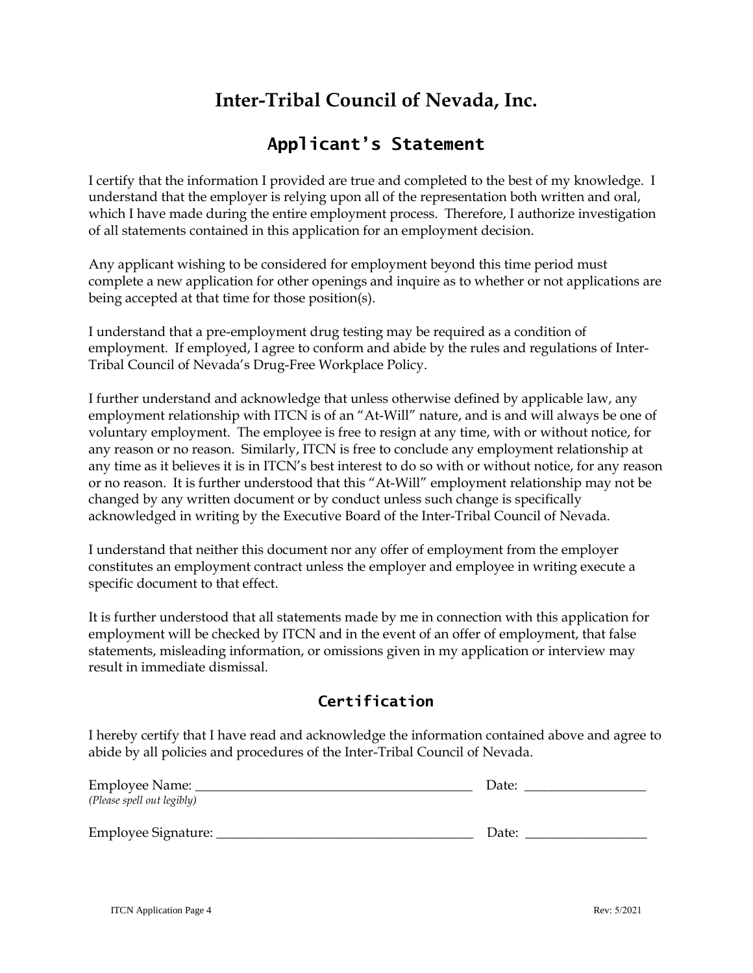# **Inter-Tribal Council of Nevada, Inc.**

## **Applicant's Statement**

I certify that the information I provided are true and completed to the best of my knowledge. I understand that the employer is relying upon all of the representation both written and oral, which I have made during the entire employment process. Therefore, I authorize investigation of all statements contained in this application for an employment decision.

Any applicant wishing to be considered for employment beyond this time period must complete a new application for other openings and inquire as to whether or not applications are being accepted at that time for those position(s).

I understand that a pre-employment drug testing may be required as a condition of employment. If employed, I agree to conform and abide by the rules and regulations of Inter-Tribal Council of Nevada's Drug-Free Workplace Policy.

I further understand and acknowledge that unless otherwise defined by applicable law, any employment relationship with ITCN is of an "At-Will" nature, and is and will always be one of voluntary employment. The employee is free to resign at any time, with or without notice, for any reason or no reason. Similarly, ITCN is free to conclude any employment relationship at any time as it believes it is in ITCN's best interest to do so with or without notice, for any reason or no reason. It is further understood that this "At-Will" employment relationship may not be changed by any written document or by conduct unless such change is specifically acknowledged in writing by the Executive Board of the Inter-Tribal Council of Nevada.

I understand that neither this document nor any offer of employment from the employer constitutes an employment contract unless the employer and employee in writing execute a specific document to that effect.

It is further understood that all statements made by me in connection with this application for employment will be checked by ITCN and in the event of an offer of employment, that false statements, misleading information, or omissions given in my application or interview may result in immediate dismissal.

#### **Certification**

I hereby certify that I have read and acknowledge the information contained above and agree to abide by all policies and procedures of the Inter-Tribal Council of Nevada.

| Employee Name:             | Date: |
|----------------------------|-------|
| (Please spell out legibly) |       |
|                            |       |
| Employee Signature:        | Date: |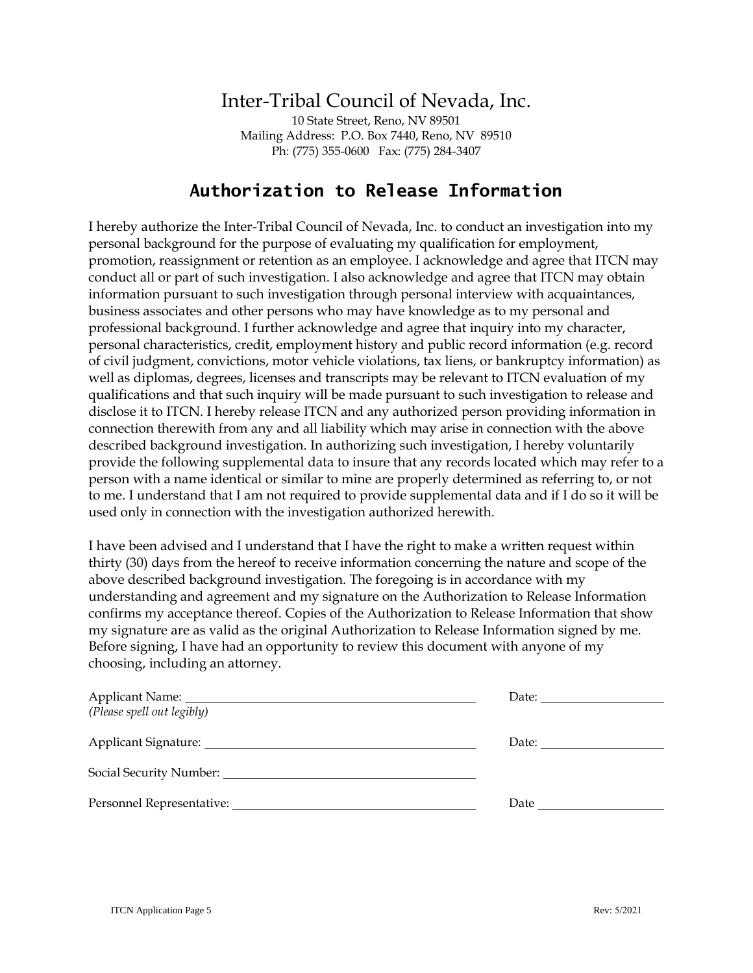## Inter-Tribal Council of Nevada, Inc.

10 State Street, Reno, NV 89501 Mailing Address: P.O. Box 7440, Reno, NV 89510 Ph: (775) 355-0600 Fax: (775) 284-3407

#### **Authorization to Release Information**

I hereby authorize the Inter-Tribal Council of Nevada, Inc. to conduct an investigation into my personal background for the purpose of evaluating my qualification for employment, promotion, reassignment or retention as an employee. I acknowledge and agree that ITCN may conduct all or part of such investigation. I also acknowledge and agree that ITCN may obtain information pursuant to such investigation through personal interview with acquaintances, business associates and other persons who may have knowledge as to my personal and professional background. I further acknowledge and agree that inquiry into my character, personal characteristics, credit, employment history and public record information (e.g. record of civil judgment, convictions, motor vehicle violations, tax liens, or bankruptcy information) as well as diplomas, degrees, licenses and transcripts may be relevant to ITCN evaluation of my qualifications and that such inquiry will be made pursuant to such investigation to release and disclose it to ITCN. I hereby release ITCN and any authorized person providing information in connection therewith from any and all liability which may arise in connection with the above described background investigation. In authorizing such investigation, I hereby voluntarily provide the following supplemental data to insure that any records located which may refer to a person with a name identical or similar to mine are properly determined as referring to, or not to me. I understand that I am not required to provide supplemental data and if I do so it will be used only in connection with the investigation authorized herewith.

I have been advised and I understand that I have the right to make a written request within thirty (30) days from the hereof to receive information concerning the nature and scope of the above described background investigation. The foregoing is in accordance with my understanding and agreement and my signature on the Authorization to Release Information confirms my acceptance thereof. Copies of the Authorization to Release Information that show my signature are as valid as the original Authorization to Release Information signed by me. Before signing, I have had an opportunity to review this document with anyone of my choosing, including an attorney.

|                            | Date: |
|----------------------------|-------|
| (Please spell out legibly) |       |
|                            | Date: |
|                            |       |
|                            | Date  |